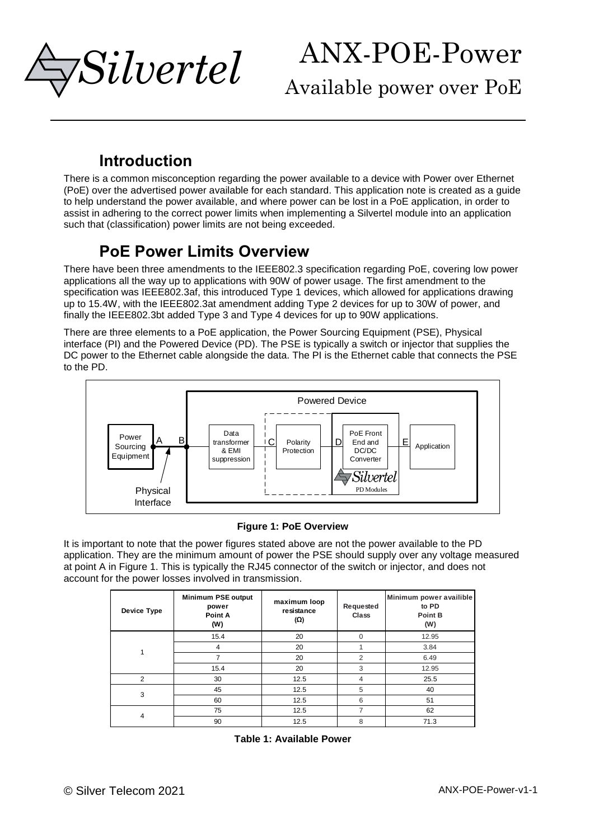*Silvertel*

Available power over PoE

### **Introduction**

There is a common misconception regarding the power available to a device with Power over Ethernet (PoE) over the advertised power available for each standard. This application note is created as a guide to help understand the power available, and where power can be lost in a PoE application, in order to assist in adhering to the correct power limits when implementing a Silvertel module into an application such that (classification) power limits are not being exceeded.

### **PoE Power Limits Overview**

There have been three amendments to the IEEE802.3 specification regarding PoE, covering low power applications all the way up to applications with 90W of power usage. The first amendment to the specification was IEEE802.3af, this introduced Type 1 devices, which allowed for applications drawing up to 15.4W, with the IEEE802.3at amendment adding Type 2 devices for up to 30W of power, and finally the IEEE802.3bt added Type 3 and Type 4 devices for up to 90W applications.

There are three elements to a PoE application, the Power Sourcing Equipment (PSE), Physical interface (PI) and the Powered Device (PD). The PSE is typically a switch or injector that supplies the DC power to the Ethernet cable alongside the data. The PI is the Ethernet cable that connects the PSE to the PD.



#### **Figure 1: PoE Overview**

<span id="page-0-0"></span>It is important to note that the power figures stated above are not the power available to the PD application. They are the minimum amount of power the PSE should supply over any voltage measured at point A in [Figure 1.](#page-0-0) This is typically the RJ45 connector of the switch or injector, and does not account for the power losses involved in transmission.

<span id="page-0-1"></span>

| Device Type | Minimum PSE output<br>power<br>Point A<br>(W) | maximum loop<br>resistance<br>(Ω) | Requested<br><b>Class</b> | Minimum power availible<br>to PD<br>Point B<br>(W) |
|-------------|-----------------------------------------------|-----------------------------------|---------------------------|----------------------------------------------------|
|             | 15.4                                          | 20                                | $\Omega$                  | 12.95                                              |
| 1           | 4                                             | 20                                |                           | 3.84                                               |
|             | 7                                             | 20                                | $\overline{2}$            | 6.49                                               |
|             | 15.4                                          | 20                                | 3                         | 12.95                                              |
| 2           | 30                                            | 12.5                              | 4                         | 25.5                                               |
| 3           | 45                                            | 12.5                              | 5                         | 40                                                 |
|             | 60                                            | 12.5                              | 6                         | 51                                                 |
| 4           | 75                                            | 12.5                              | 7                         | 62                                                 |
|             | 90                                            | 12.5                              | 8                         | 71.3                                               |

|  |  | Table 1: Available Power |  |
|--|--|--------------------------|--|
|--|--|--------------------------|--|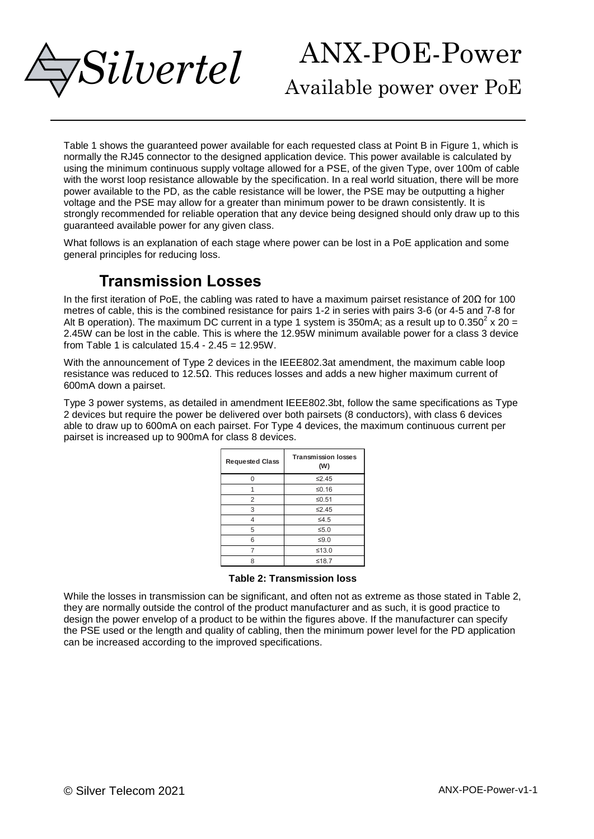

Available power over PoE

[Table 1](#page-0-1) shows the guaranteed power available for each requested class at Point B in [Figure 1,](#page-0-0) which is normally the RJ45 connector to the designed application device. This power available is calculated by using the minimum continuous supply voltage allowed for a PSE, of the given Type, over 100m of cable with the worst loop resistance allowable by the specification. In a real world situation, there will be more power available to the PD, as the cable resistance will be lower, the PSE may be outputting a higher voltage and the PSE may allow for a greater than minimum power to be drawn consistently. It is strongly recommended for reliable operation that any device being designed should only draw up to this guaranteed available power for any given class.

What follows is an explanation of each stage where power can be lost in a PoE application and some general principles for reducing loss.

### **Transmission Losses**

In the first iteration of PoE, the cabling was rated to have a maximum pairset resistance of 20Ω for 100 metres of cable, this is the combined resistance for pairs 1-2 in series with pairs 3-6 (or 4-5 and 7-8 for Alt B operation). The maximum DC current in a type 1 system is 350mA; as a result up to 0.350<sup>2</sup> x 20 = 2.45W can be lost in the cable. This is where the 12.95W minimum available power for a class 3 device from [Table 1](#page-0-1) is calculated  $15.4 - 2.45 = 12.95W$ .

With the announcement of Type 2 devices in the IEEE802.3at amendment, the maximum cable loop resistance was reduced to 12.5Ω. This reduces losses and adds a new higher maximum current of 600mA down a pairset.

Type 3 power systems, as detailed in amendment IEEE802.3bt, follow the same specifications as Type 2 devices but require the power be delivered over both pairsets (8 conductors), with class 6 devices able to draw up to 600mA on each pairset. For Type 4 devices, the maximum continuous current per pairset is increased up to 900mA for class 8 devices.

| <b>Requested Class</b> | <b>Transmission losses</b><br>(W) |  |
|------------------------|-----------------------------------|--|
| O                      | ≤2.45                             |  |
|                        | ≤0.16                             |  |
| $\overline{2}$         | ≤0.51                             |  |
| 3                      | ≤2.45                             |  |
| Δ                      | $\leq 4.5$                        |  |
| 5                      | $\leq 5.0$                        |  |
| 6                      | $≤9.0$                            |  |
|                        | ≤13.0                             |  |
| 8                      | ≤18.7                             |  |

**Table 2: Transmission loss**

<span id="page-1-0"></span>While the losses in transmission can be significant, and often not as extreme as those stated in [Table 2,](#page-1-0) they are normally outside the control of the product manufacturer and as such, it is good practice to design the power envelop of a product to be within the figures above. If the manufacturer can specify the PSE used or the length and quality of cabling, then the minimum power level for the PD application can be increased according to the improved specifications.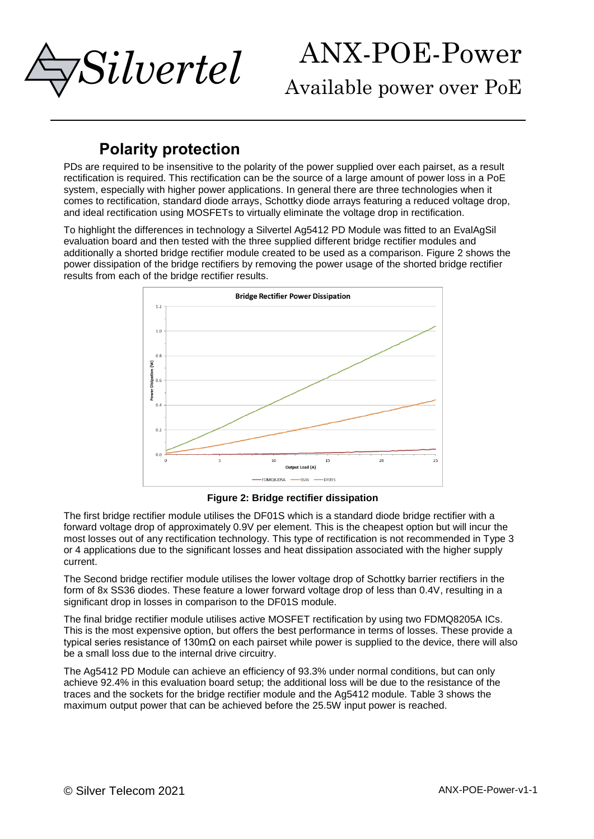

Available power over PoE

### **Polarity protection**

PDs are required to be insensitive to the polarity of the power supplied over each pairset, as a result rectification is required. This rectification can be the source of a large amount of power loss in a PoE system, especially with higher power applications. In general there are three technologies when it comes to rectification, standard diode arrays, Schottky diode arrays featuring a reduced voltage drop, and ideal rectification using MOSFETs to virtually eliminate the voltage drop in rectification.

To highlight the differences in technology a Silvertel Ag5412 PD Module was fitted to an EvalAgSil evaluation board and then tested with the three supplied different bridge rectifier modules and additionally a shorted bridge rectifier module created to be used as a comparison. [Figure 2](#page-2-0) shows the power dissipation of the bridge rectifiers by removing the power usage of the shorted bridge rectifier results from each of the bridge rectifier results.



**Figure 2: Bridge rectifier dissipation**

<span id="page-2-0"></span>The first bridge rectifier module utilises the DF01S which is a standard diode bridge rectifier with a forward voltage drop of approximately 0.9V per element. This is the cheapest option but will incur the most losses out of any rectification technology. This type of rectification is not recommended in Type 3 or 4 applications due to the significant losses and heat dissipation associated with the higher supply current.

The Second bridge rectifier module utilises the lower voltage drop of Schottky barrier rectifiers in the form of 8x SS36 diodes. These feature a lower forward voltage drop of less than 0.4V, resulting in a significant drop in losses in comparison to the DF01S module.

The final bridge rectifier module utilises active MOSFET rectification by using two FDMQ8205A ICs. This is the most expensive option, but offers the best performance in terms of losses. These provide a typical series resistance of 130mΩ on each pairset while power is supplied to the device, there will also be a small loss due to the internal drive circuitry.

The Ag5412 PD Module can achieve an efficiency of 93.3% under normal conditions, but can only achieve 92.4% in this evaluation board setup; the additional loss will be due to the resistance of the traces and the sockets for the bridge rectifier module and the Ag5412 module. [Table 3](#page-3-0) shows the maximum output power that can be achieved before the 25.5W input power is reached.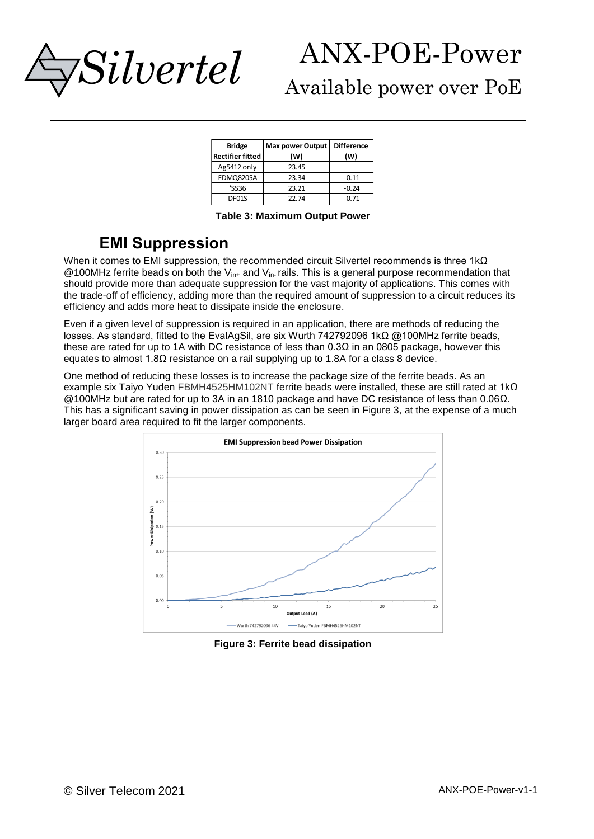

## Available power over PoE

| <b>Bridge</b><br><b>Rectifier fitted</b> | <b>Max power Output</b><br>(W) | <b>Difference</b><br>(W) |
|------------------------------------------|--------------------------------|--------------------------|
| Ag5412 only                              | 23.45                          |                          |
| <b>FDMQ8205A</b>                         | 23.34                          | $-0.11$                  |
| 'SS36                                    | 23.21                          | $-0.24$                  |
| DF01S                                    | 22.74                          | $-0.71$                  |

**Table 3: Maximum Output Power**

## <span id="page-3-0"></span>**EMI Suppression**

When it comes to EMI suppression, the recommended circuit Silvertel recommends is three 1kΩ @100MHz ferrite beads on both the  $V_{\text{int}}$  and  $V_{\text{int}}$  rails. This is a general purpose recommendation that should provide more than adequate suppression for the vast majority of applications. This comes with the trade-off of efficiency, adding more than the required amount of suppression to a circuit reduces its efficiency and adds more heat to dissipate inside the enclosure.

Even if a given level of suppression is required in an application, there are methods of reducing the losses. As standard, fitted to the EvalAgSil, are six Wurth 742792096 1kΩ @100MHz ferrite beads, these are rated for up to 1A with DC resistance of less than  $0.3\Omega$  in an 0805 package, however this equates to almost  $1.8Ω$  resistance on a rail supplying up to 1.8A for a class 8 device.

One method of reducing these losses is to increase the package size of the ferrite beads. As an example six Taiyo Yuden FBMH4525HM102NT ferrite beads were installed, these are still rated at 1kΩ @100MHz but are rated for up to 3A in an 1810 package and have DC resistance of less than 0.06Ω. This has a significant saving in power dissipation as can be seen in [Figure 3,](#page-3-1) at the expense of a much larger board area required to fit the larger components.



<span id="page-3-1"></span>**Figure 3: Ferrite bead dissipation**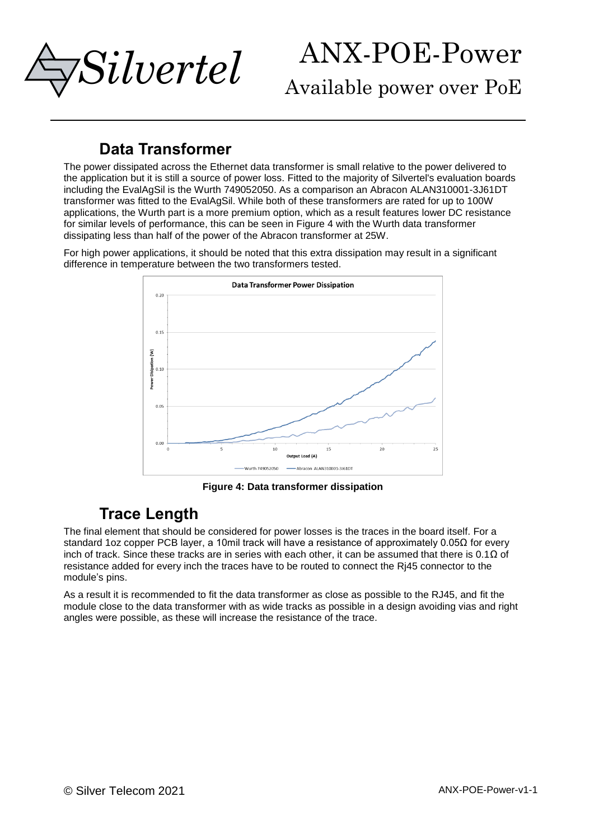

Available power over PoE

## **Data Transformer**

The power dissipated across the Ethernet data transformer is small relative to the power delivered to the application but it is still a source of power loss. Fitted to the majority of Silvertel's evaluation boards including the EvalAgSil is the Wurth 749052050. As a comparison an Abracon ALAN310001-3J61DT transformer was fitted to the EvalAgSil. While both of these transformers are rated for up to 100W applications, the Wurth part is a more premium option, which as a result features lower DC resistance for similar levels of performance, this can be seen in [Figure 4](#page-4-0) with the Wurth data transformer dissipating less than half of the power of the Abracon transformer at 25W.

For high power applications, it should be noted that this extra dissipation may result in a significant difference in temperature between the two transformers tested.



**Figure 4: Data transformer dissipation**

### <span id="page-4-0"></span>**Trace Length**

The final element that should be considered for power losses is the traces in the board itself. For a standard 1oz copper PCB layer, a 10mil track will have a resistance of approximately 0.05Ω for every inch of track. Since these tracks are in series with each other, it can be assumed that there is 0.1 $\Omega$  of resistance added for every inch the traces have to be routed to connect the Rj45 connector to the module's pins.

As a result it is recommended to fit the data transformer as close as possible to the RJ45, and fit the module close to the data transformer with as wide tracks as possible in a design avoiding vias and right angles were possible, as these will increase the resistance of the trace.